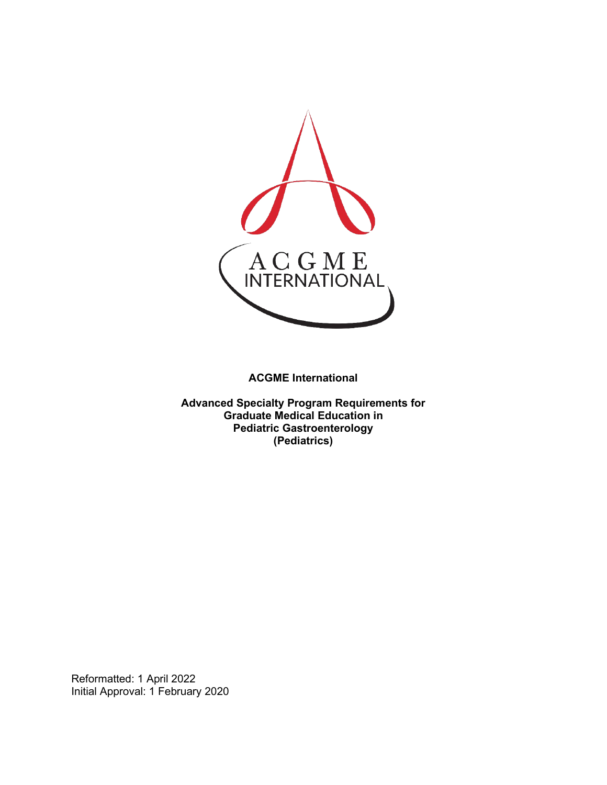

**ACGME International** 

**Advanced Specialty Program Requirements for Graduate Medical Education in Pediatric Gastroenterology (Pediatrics)**

Reformatted: 1 April 2022 Initial Approval: 1 February 2020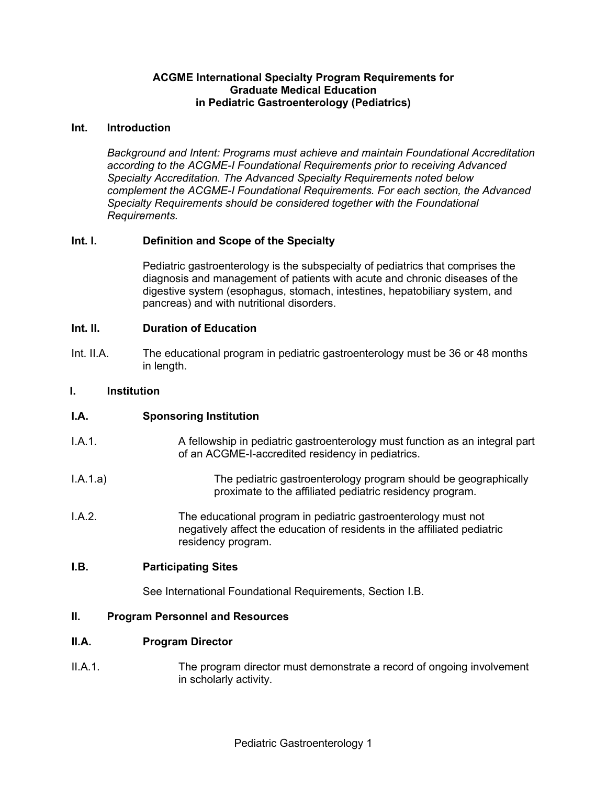#### **ACGME International Specialty Program Requirements for Graduate Medical Education in Pediatric Gastroenterology (Pediatrics)**

#### **Int. Introduction**

*Background and Intent: Programs must achieve and maintain Foundational Accreditation according to the ACGME-I Foundational Requirements prior to receiving Advanced Specialty Accreditation. The Advanced Specialty Requirements noted below complement the ACGME-I Foundational Requirements. For each section, the Advanced Specialty Requirements should be considered together with the Foundational Requirements.*

### **Int. I. Definition and Scope of the Specialty**

Pediatric gastroenterology is the subspecialty of pediatrics that comprises the diagnosis and management of patients with acute and chronic diseases of the digestive system (esophagus, stomach, intestines, hepatobiliary system, and pancreas) and with nutritional disorders.

#### **Int. II. Duration of Education**

Int. II.A. The educational program in pediatric gastroenterology must be 36 or 48 months in length.

#### **I. Institution**

### **I.A. Sponsoring Institution**

- I.A.1. A fellowship in pediatric gastroenterology must function as an integral part of an ACGME-I-accredited residency in pediatrics.
- I.A.1.a) The pediatric gastroenterology program should be geographically proximate to the affiliated pediatric residency program.
- I.A.2. The educational program in pediatric gastroenterology must not negatively affect the education of residents in the affiliated pediatric residency program.

#### **I.B. Participating Sites**

See International Foundational Requirements, Section I.B.

### **II. Program Personnel and Resources**

#### **II.A. Program Director**

II.A.1. The program director must demonstrate a record of ongoing involvement in scholarly activity.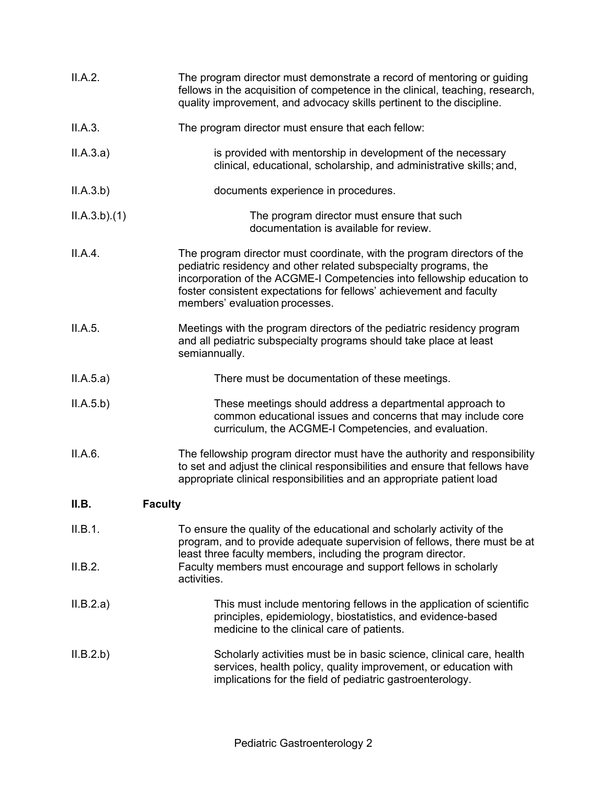| II.A.2.                 | The program director must demonstrate a record of mentoring or guiding<br>fellows in the acquisition of competence in the clinical, teaching, research,<br>quality improvement, and advocacy skills pertinent to the discipline.                                                                                               |  |
|-------------------------|--------------------------------------------------------------------------------------------------------------------------------------------------------------------------------------------------------------------------------------------------------------------------------------------------------------------------------|--|
| II.A.3.                 | The program director must ensure that each fellow:                                                                                                                                                                                                                                                                             |  |
| II.A.3.a)               | is provided with mentorship in development of the necessary<br>clinical, educational, scholarship, and administrative skills; and,                                                                                                                                                                                             |  |
| II.A.3.b)               | documents experience in procedures.                                                                                                                                                                                                                                                                                            |  |
| ILA.3.b)(1)             | The program director must ensure that such<br>documentation is available for review.                                                                                                                                                                                                                                           |  |
| II.A.4.                 | The program director must coordinate, with the program directors of the<br>pediatric residency and other related subspecialty programs, the<br>incorporation of the ACGME-I Competencies into fellowship education to<br>foster consistent expectations for fellows' achievement and faculty<br>members' evaluation processes. |  |
| II.A.5.                 | Meetings with the program directors of the pediatric residency program<br>and all pediatric subspecialty programs should take place at least<br>semiannually.                                                                                                                                                                  |  |
| II.A.5.a)               | There must be documentation of these meetings.                                                                                                                                                                                                                                                                                 |  |
| II.A.5.b)               | These meetings should address a departmental approach to<br>common educational issues and concerns that may include core<br>curriculum, the ACGME-I Competencies, and evaluation.                                                                                                                                              |  |
| II.A.6.                 | The fellowship program director must have the authority and responsibility<br>to set and adjust the clinical responsibilities and ensure that fellows have<br>appropriate clinical responsibilities and an appropriate patient load                                                                                            |  |
| II.B.<br><b>Faculty</b> |                                                                                                                                                                                                                                                                                                                                |  |
| II.B.1.                 | To ensure the quality of the educational and scholarly activity of the<br>program, and to provide adequate supervision of fellows, there must be at<br>least three faculty members, including the program director.                                                                                                            |  |
| II.B.2.                 | Faculty members must encourage and support fellows in scholarly<br>activities.                                                                                                                                                                                                                                                 |  |
| II.B.2.a)               | This must include mentoring fellows in the application of scientific<br>principles, epidemiology, biostatistics, and evidence-based<br>medicine to the clinical care of patients.                                                                                                                                              |  |
| II.B.2.b)               | Scholarly activities must be in basic science, clinical care, health<br>services, health policy, quality improvement, or education with<br>implications for the field of pediatric gastroenterology.                                                                                                                           |  |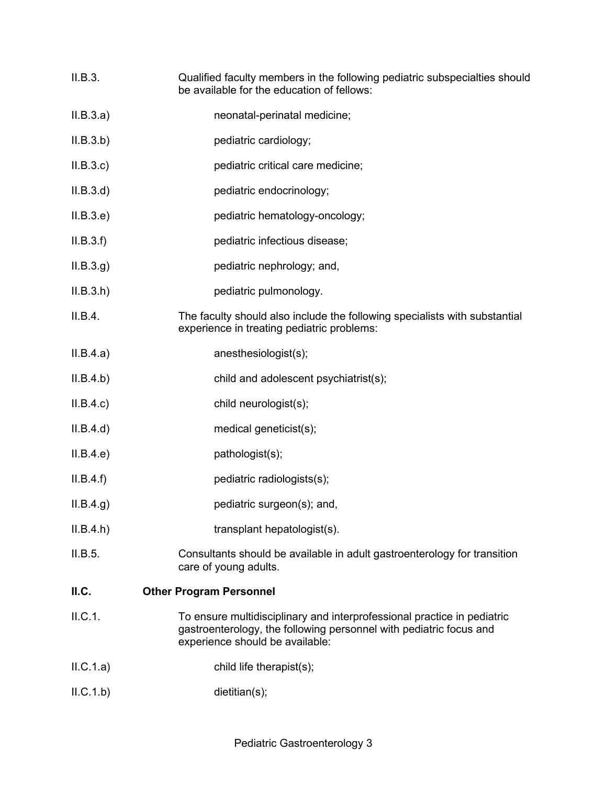- II.B.3. Qualified faculty members in the following pediatric subspecialties should be available for the education of fellows:
- II.B.3.a) neonatal-perinatal medicine;
- II.B.3.b) pediatric cardiology;
- II.B.3.c) pediatric critical care medicine;
- II.B.3.d) pediatric endocrinology;
- II.B.3.e) pediatric hematology-oncology;
- II.B.3.f) pediatric infectious disease;
- II.B.3.g) pediatric nephrology; and,
- II.B.3.h) pediatric pulmonology.
- II.B.4. The faculty should also include the following specialists with substantial experience in treating pediatric problems:
- II.B.4.a) anesthesiologist(s);
- II.B.4.b) child and adolescent psychiatrist(s);
- II.B.4.c) child neurologist(s);
- II.B.4.d) medical geneticist(s);
- II.B.4.e) pathologist(s);
- II.B.4.f) pediatric radiologists(s);
- II.B.4.g) pediatric surgeon(s); and,
- II.B.4.h) transplant hepatologist(s).
- II.B.5. Consultants should be available in adult gastroenterology for transition care of young adults.

### **II.C. Other Program Personnel**

- II.C.1. To ensure multidisciplinary and interprofessional practice in pediatric gastroenterology, the following personnel with pediatric focus and experience should be available:
- II.C.1.a) child life therapist(s);
- II.C.1.b) dietitian(s);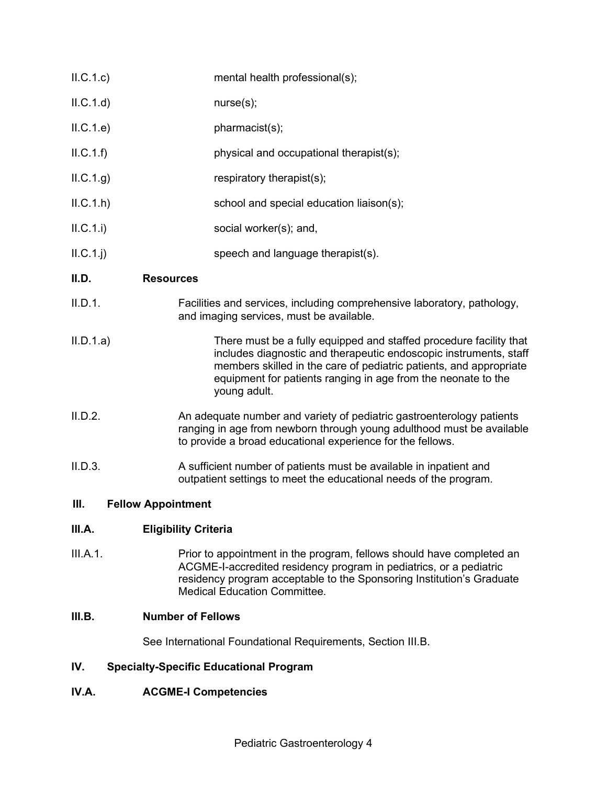- II.C.1.c) mental health professional(s);
- II.C.1.d) nurse(s);
- II.C.1.e) pharmacist(s);
- II.C.1.f) physical and occupational therapist(s);
- $II.C.1.g)$  respiratory therapist(s);
- II.C.1.h) school and special education liaison(s);
- II.C.1.i) social worker(s); and,
- II.C.1.j) speech and language therapist(s).

## **II.D. Resources**

- II.D.1. Facilities and services, including comprehensive laboratory, pathology, and imaging services, must be available.
- II.D.1.a) There must be a fully equipped and staffed procedure facility that includes diagnostic and therapeutic endoscopic instruments, staff members skilled in the care of pediatric patients, and appropriate equipment for patients ranging in age from the neonate to the young adult.
- II.D.2. An adequate number and variety of pediatric gastroenterology patients ranging in age from newborn through young adulthood must be available to provide a broad educational experience for the fellows.
- II.D.3. A sufficient number of patients must be available in inpatient and outpatient settings to meet the educational needs of the program.

### **III. Fellow Appointment**

# **III.A. Eligibility Criteria**

III.A.1. Prior to appointment in the program, fellows should have completed an ACGME-I-accredited residency program in pediatrics, or a pediatric residency program acceptable to the Sponsoring Institution's Graduate Medical Education Committee.

## **III.B. Number of Fellows**

See International Foundational Requirements, Section III.B.

# **IV. Specialty-Specific Educational Program**

### **IV.A. ACGME-I Competencies**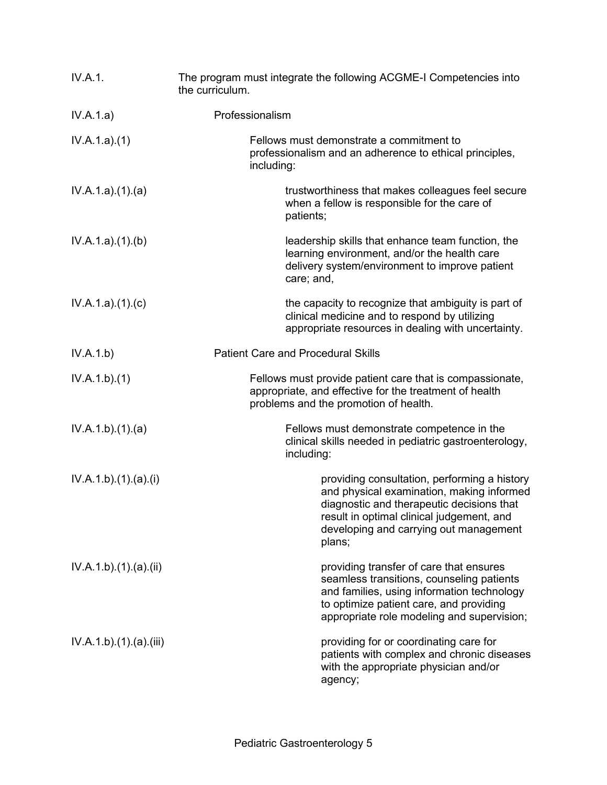| IV.A.1.              | The program must integrate the following ACGME-I Competencies into<br>the curriculum.                                                                                                                                                   |
|----------------------|-----------------------------------------------------------------------------------------------------------------------------------------------------------------------------------------------------------------------------------------|
| IV.A.1.a)            | Professionalism                                                                                                                                                                                                                         |
| IV.A.1.a)(1)         | Fellows must demonstrate a commitment to<br>professionalism and an adherence to ethical principles,<br>including:                                                                                                                       |
| IV.A.1.a)(1)(a)      | trustworthiness that makes colleagues feel secure<br>when a fellow is responsible for the care of<br>patients;                                                                                                                          |
| IV.A.1.a)(1)(b)      | leadership skills that enhance team function, the<br>learning environment, and/or the health care<br>delivery system/environment to improve patient<br>care; and,                                                                       |
| IV.A.1.a)(1)(c)      | the capacity to recognize that ambiguity is part of<br>clinical medicine and to respond by utilizing<br>appropriate resources in dealing with uncertainty.                                                                              |
| IV.A.1.b)            | <b>Patient Care and Procedural Skills</b>                                                                                                                                                                                               |
| IV.A.1.b)(1)         | Fellows must provide patient care that is compassionate,<br>appropriate, and effective for the treatment of health<br>problems and the promotion of health.                                                                             |
| IV.A.1.b)(1)(a)      | Fellows must demonstrate competence in the<br>clinical skills needed in pediatric gastroenterology,<br>including:                                                                                                                       |
| IV.A.1.b)(1)(a)(i)   | providing consultation, performing a history<br>and physical examination, making informed<br>diagnostic and therapeutic decisions that<br>result in optimal clinical judgement, and<br>developing and carrying out management<br>plans; |
| IV.A.1.b)(1)(a)(ii)  | providing transfer of care that ensures<br>seamless transitions, counseling patients<br>and families, using information technology<br>to optimize patient care, and providing<br>appropriate role modeling and supervision;             |
| IV.A.1.b)(1)(a)(iii) | providing for or coordinating care for<br>patients with complex and chronic diseases<br>with the appropriate physician and/or<br>agency;                                                                                                |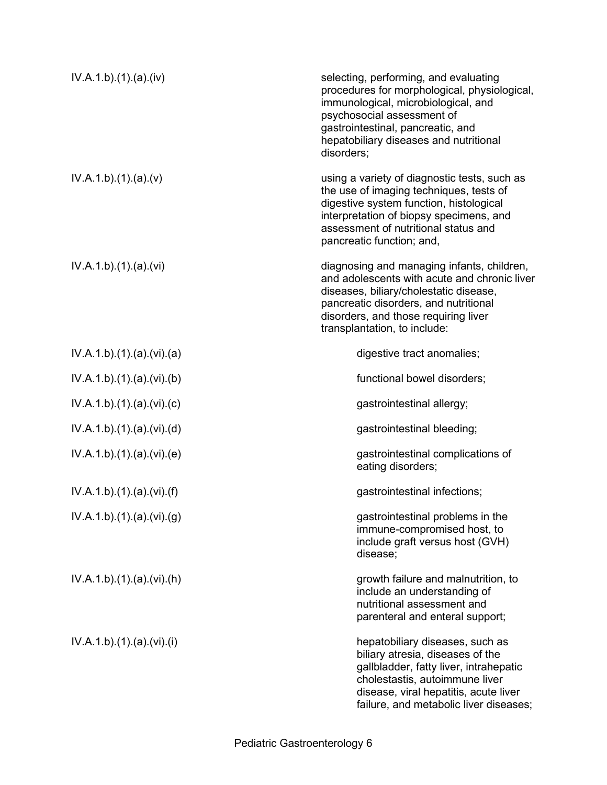| IV.A.1.b)(1)(a)(iv)    | selecting, performing, and evaluating<br>procedures for morphological, physiological,<br>immunological, microbiological, and<br>psychosocial assessment of<br>gastrointestinal, pancreatic, and<br>hepatobiliary diseases and nutritional<br>disorders; |
|------------------------|---------------------------------------------------------------------------------------------------------------------------------------------------------------------------------------------------------------------------------------------------------|
| IV.A.1.b)(1)(a)(v)     | using a variety of diagnostic tests, such as<br>the use of imaging techniques, tests of<br>digestive system function, histological<br>interpretation of biopsy specimens, and<br>assessment of nutritional status and<br>pancreatic function; and,      |
| IV.A.1.b)(1)(a)(vi)    | diagnosing and managing infants, children,<br>and adolescents with acute and chronic liver<br>diseases, biliary/cholestatic disease,<br>pancreatic disorders, and nutritional<br>disorders, and those requiring liver<br>transplantation, to include:   |
| IV.A.1.b)(1)(a)(vi)(a) | digestive tract anomalies;                                                                                                                                                                                                                              |
| IV.A.1.b)(1)(a)(vi)(b) | functional bowel disorders;                                                                                                                                                                                                                             |
| IV.A.1.b)(1)(a)(vi)(c) | gastrointestinal allergy;                                                                                                                                                                                                                               |
| IV.A.1.b)(1)(a)(vi)(d) | gastrointestinal bleeding;                                                                                                                                                                                                                              |
| IV.A.1.b)(1)(a)(vi)(e) | gastrointestinal complications of<br>eating disorders;                                                                                                                                                                                                  |
| IV.A.1.b)(1)(a)(vi)(f) | gastrointestinal infections;                                                                                                                                                                                                                            |
| IV.A.1.b)(1)(a)(vi)(g) | gastrointestinal problems in the<br>immune-compromised host, to<br>include graft versus host (GVH)<br>disease;                                                                                                                                          |
| IV.A.1.b)(1)(a)(vi)(h) | growth failure and malnutrition, to<br>include an understanding of<br>nutritional assessment and<br>parenteral and enteral support;                                                                                                                     |
| IV.A.1.b)(1)(a)(vi)(i) | hepatobiliary diseases, such as<br>biliary atresia, diseases of the<br>gallbladder, fatty liver, intrahepatic<br>cholestastis, autoimmune liver<br>disease, viral hepatitis, acute liver<br>failure, and metabolic liver diseases;                      |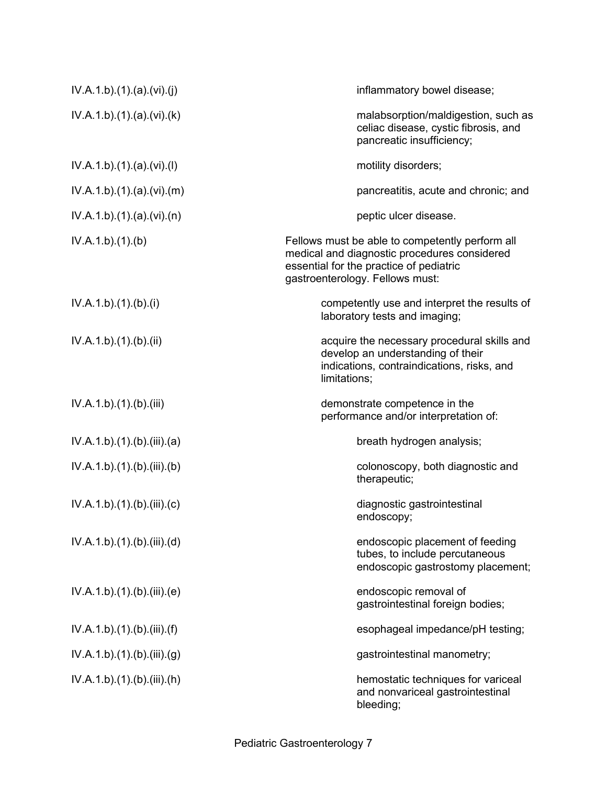| IV.A.1.b)(1)(a)(vi)(j)      | inflammatory bowel disease;                                                                                                                                                   |
|-----------------------------|-------------------------------------------------------------------------------------------------------------------------------------------------------------------------------|
| IV.A.1.b)(1)(a)(vi)(k)      | malabsorption/maldigestion, such as<br>celiac disease, cystic fibrosis, and<br>pancreatic insufficiency;                                                                      |
| IV.A.1.b)(1)(a)(vi)(l)      | motility disorders;                                                                                                                                                           |
| IV.A.1.b)(1)(a)(vi)(m)      | pancreatitis, acute and chronic; and                                                                                                                                          |
| IV.A.1.b)(1)(a)(vi)(n)      | peptic ulcer disease.                                                                                                                                                         |
| IV.A.1.b)(1)(b)             | Fellows must be able to competently perform all<br>medical and diagnostic procedures considered<br>essential for the practice of pediatric<br>gastroenterology. Fellows must: |
| IV.A.1.b)(1)(b)(i)          | competently use and interpret the results of<br>laboratory tests and imaging;                                                                                                 |
| IV.A.1.b)(1)(b)(ii)         | acquire the necessary procedural skills and<br>develop an understanding of their<br>indications, contraindications, risks, and<br>limitations;                                |
| IV.A.1.b)(1)(b)(iii)        | demonstrate competence in the<br>performance and/or interpretation of:                                                                                                        |
| IV.A.1.b)(1)(b)(iii)(a)     | breath hydrogen analysis;                                                                                                                                                     |
| IV.A.1.b)(1)(b)(iii)(b)     | colonoscopy, both diagnostic and<br>therapeutic;                                                                                                                              |
| IV.A.1.b)(1)(b)(iii)(c)     | diagnostic gastrointestinal<br>endoscopy;                                                                                                                                     |
| IV.A.1.b)(1)(b)(iii)(d)     | endoscopic placement of feeding<br>tubes, to include percutaneous<br>endoscopic gastrostomy placement;                                                                        |
| IV.A.1.b)(1)(b)(iii)(e)     | endoscopic removal of<br>gastrointestinal foreign bodies;                                                                                                                     |
| IV.A.1.b)(1)(b)(iii)(f)     | esophageal impedance/pH testing;                                                                                                                                              |
| IV.A.1.b).(1).(b).(iii).(g) | gastrointestinal manometry;                                                                                                                                                   |
| IV.A.1.b)(1)(b)(iii)(h)     | hemostatic techniques for variceal<br>and nonvariceal gastrointestinal<br>bleeding;                                                                                           |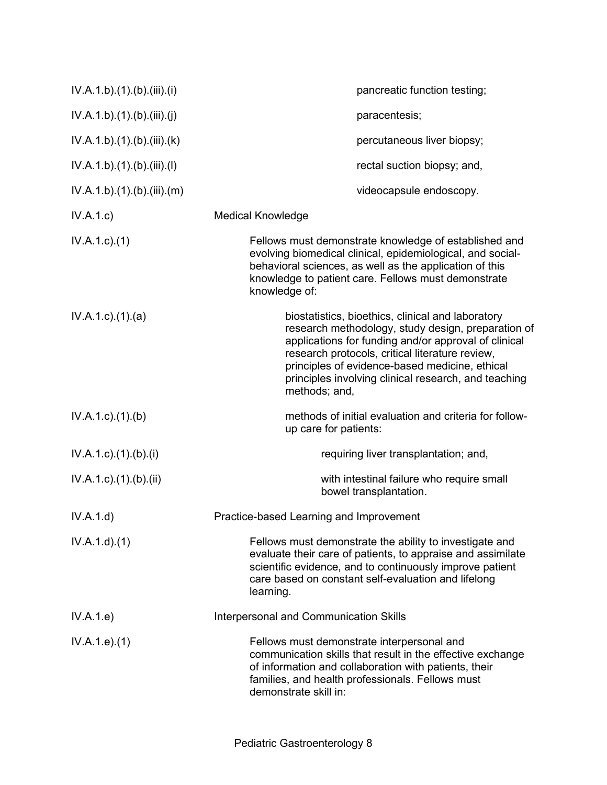| IV.A.1.b)(1)(b)(iii)(i)             | pancreatic function testing;                                                                                                                                                                                                                                                                                                                  |
|-------------------------------------|-----------------------------------------------------------------------------------------------------------------------------------------------------------------------------------------------------------------------------------------------------------------------------------------------------------------------------------------------|
| IV.A.1.b)(1)(b)(iii)(j)             | paracentesis;                                                                                                                                                                                                                                                                                                                                 |
| IV.A.1.b)(1)(b)(iii)(k)             | percutaneous liver biopsy;                                                                                                                                                                                                                                                                                                                    |
| IV.A.1.b)(1)(b)(iii)(l)             | rectal suction biopsy; and,                                                                                                                                                                                                                                                                                                                   |
| IV.A.1.b)(1)(b)(iii)(m)             | videocapsule endoscopy.                                                                                                                                                                                                                                                                                                                       |
| IV.A.1.c)                           | <b>Medical Knowledge</b>                                                                                                                                                                                                                                                                                                                      |
| $IV.A.1.c.$ (1)                     | Fellows must demonstrate knowledge of established and<br>evolving biomedical clinical, epidemiological, and social-<br>behavioral sciences, as well as the application of this<br>knowledge to patient care. Fellows must demonstrate<br>knowledge of:                                                                                        |
| $IV.A.1.c$ . $(1).$ $(a)$           | biostatistics, bioethics, clinical and laboratory<br>research methodology, study design, preparation of<br>applications for funding and/or approval of clinical<br>research protocols, critical literature review,<br>principles of evidence-based medicine, ethical<br>principles involving clinical research, and teaching<br>methods; and, |
| $IV.A.1.c.$ (1).(b)                 | methods of initial evaluation and criteria for follow-<br>up care for patients:                                                                                                                                                                                                                                                               |
| $IV.A.1.c$ ). $(1)$ . $(b)$ . $(i)$ | requiring liver transplantation; and,                                                                                                                                                                                                                                                                                                         |
| $IV.A.1.c$ . $(1).$ $(b).$ $(ii)$   | with intestinal failure who require small<br>bowel transplantation.                                                                                                                                                                                                                                                                           |
| IV.A.1.d)                           | Practice-based Learning and Improvement                                                                                                                                                                                                                                                                                                       |
| IV.A.1.d.(1)                        | Fellows must demonstrate the ability to investigate and<br>evaluate their care of patients, to appraise and assimilate<br>scientific evidence, and to continuously improve patient<br>care based on constant self-evaluation and lifelong<br>learning.                                                                                        |
| IV.A.1.e)                           | <b>Interpersonal and Communication Skills</b>                                                                                                                                                                                                                                                                                                 |
| IV.A.1.e. (1)                       | Fellows must demonstrate interpersonal and<br>communication skills that result in the effective exchange<br>of information and collaboration with patients, their<br>families, and health professionals. Fellows must<br>demonstrate skill in:                                                                                                |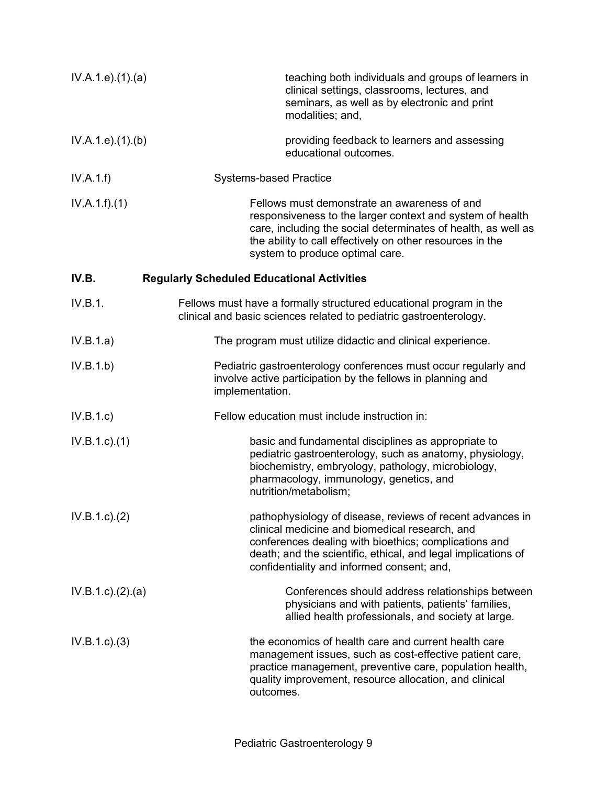| IV.A.1.e. (1). (a)  | teaching both individuals and groups of learners in<br>clinical settings, classrooms, lectures, and<br>seminars, as well as by electronic and print<br>modalities; and,                                                                                                             |
|---------------------|-------------------------------------------------------------------------------------------------------------------------------------------------------------------------------------------------------------------------------------------------------------------------------------|
| IV.A.1.e. (1). (b)  | providing feedback to learners and assessing<br>educational outcomes.                                                                                                                                                                                                               |
| IV.A.1.f)           | <b>Systems-based Practice</b>                                                                                                                                                                                                                                                       |
| IV.A.1.f)(1)        | Fellows must demonstrate an awareness of and<br>responsiveness to the larger context and system of health<br>care, including the social determinates of health, as well as<br>the ability to call effectively on other resources in the<br>system to produce optimal care.          |
| IV.B.               | <b>Regularly Scheduled Educational Activities</b>                                                                                                                                                                                                                                   |
| IV.B.1.             | Fellows must have a formally structured educational program in the<br>clinical and basic sciences related to pediatric gastroenterology.                                                                                                                                            |
| IV.B.1.a)           | The program must utilize didactic and clinical experience.                                                                                                                                                                                                                          |
| IV.B.1.b)           | Pediatric gastroenterology conferences must occur regularly and<br>involve active participation by the fellows in planning and<br>implementation.                                                                                                                                   |
| IV.B.1.c            | Fellow education must include instruction in:                                                                                                                                                                                                                                       |
| IV.B.1.c)(1)        | basic and fundamental disciplines as appropriate to<br>pediatric gastroenterology, such as anatomy, physiology,<br>biochemistry, embryology, pathology, microbiology,<br>pharmacology, immunology, genetics, and<br>nutrition/metabolism;                                           |
| IV.B.1.c). (2)      | pathophysiology of disease, reviews of recent advances in<br>clinical medicine and biomedical research, and<br>conferences dealing with bioethics; complications and<br>death; and the scientific, ethical, and legal implications of<br>confidentiality and informed consent; and, |
| IV.B.1.c). (2). (a) | Conferences should address relationships between<br>physicians and with patients, patients' families,<br>allied health professionals, and society at large.                                                                                                                         |
| IV.B.1.c.3)         | the economics of health care and current health care<br>management issues, such as cost-effective patient care,<br>practice management, preventive care, population health,<br>quality improvement, resource allocation, and clinical<br>outcomes.                                  |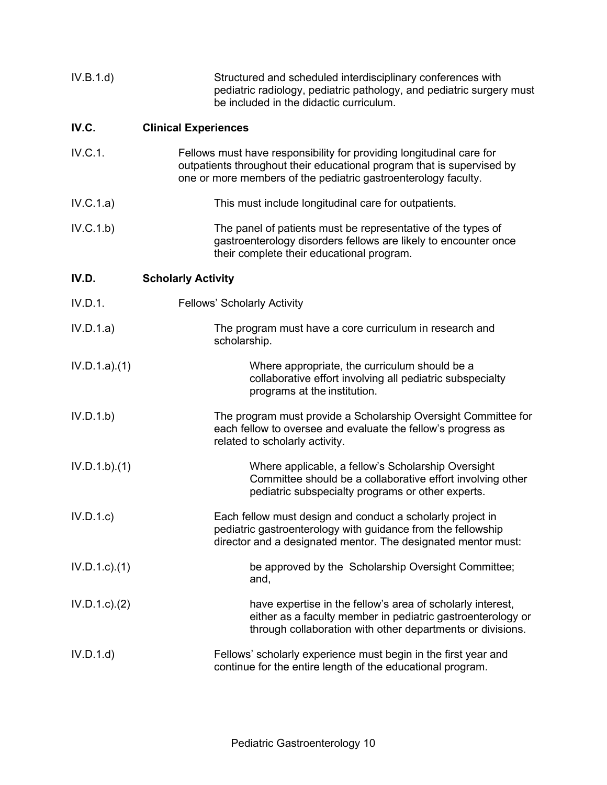| IV.B.1.d)                          | Structured and scheduled interdisciplinary conferences with<br>pediatric radiology, pediatric pathology, and pediatric surgery must<br>be included in the didactic curriculum.                                   |
|------------------------------------|------------------------------------------------------------------------------------------------------------------------------------------------------------------------------------------------------------------|
| IV.C.                              | <b>Clinical Experiences</b>                                                                                                                                                                                      |
| IV.C.1.                            | Fellows must have responsibility for providing longitudinal care for<br>outpatients throughout their educational program that is supervised by<br>one or more members of the pediatric gastroenterology faculty. |
| IV.C.1.a)                          | This must include longitudinal care for outpatients.                                                                                                                                                             |
| IV.C.1.b)                          | The panel of patients must be representative of the types of<br>gastroenterology disorders fellows are likely to encounter once<br>their complete their educational program.                                     |
| IV.D.<br><b>Scholarly Activity</b> |                                                                                                                                                                                                                  |
| IV.D.1.                            | <b>Fellows' Scholarly Activity</b>                                                                                                                                                                               |
| IV.D.1.a)                          | The program must have a core curriculum in research and<br>scholarship.                                                                                                                                          |
| IV.D.1.a)(1)                       | Where appropriate, the curriculum should be a<br>collaborative effort involving all pediatric subspecialty<br>programs at the institution.                                                                       |
| IV.D.1.b)                          | The program must provide a Scholarship Oversight Committee for<br>each fellow to oversee and evaluate the fellow's progress as<br>related to scholarly activity.                                                 |
| IV.D.1.b)(1)                       | Where applicable, a fellow's Scholarship Oversight<br>Committee should be a collaborative effort involving other<br>pediatric subspecialty programs or other experts.                                            |
| IV.D.1.c                           | Each fellow must design and conduct a scholarly project in<br>pediatric gastroenterology with guidance from the fellowship<br>director and a designated mentor. The designated mentor must:                      |
| $IV.D.1.c$ $(1)$                   | be approved by the Scholarship Oversight Committee;<br>and,                                                                                                                                                      |
| IV.D.1.c.2)                        | have expertise in the fellow's area of scholarly interest,<br>either as a faculty member in pediatric gastroenterology or<br>through collaboration with other departments or divisions.                          |
| IV.D.1.d                           | Fellows' scholarly experience must begin in the first year and<br>continue for the entire length of the educational program.                                                                                     |